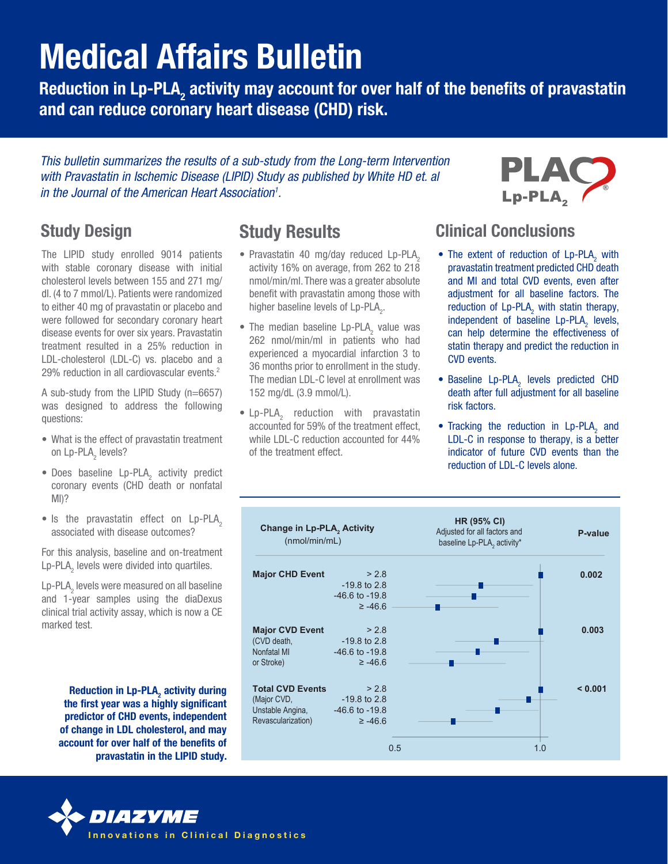# Medical Affairs Bulletin

Reduction in Lp-PLA $_{\rm _2}$  activity may account for over half of the benefits of pravastatin and can reduce coronary heart disease (CHD) risk.

*This bulletin summarizes the results of a sub-study from the Long-term Intervention with Pravastatin in Ischemic Disease (LIPID) Study as published by White HD et. al in the Journal of the American Heart Association1 .*



The LIPID study enrolled 9014 patients with stable coronary disease with initial cholesterol levels between 155 and 271 mg/ dl. (4 to 7 mmol/L). Patients were randomized to either 40 mg of pravastatin or placebo and were followed for secondary coronary heart disease events for over six years. Pravastatin treatment resulted in a 25% reduction in LDL-cholesterol (LDL-C) vs. placebo and a 29% reduction in all cardiovascular events.2

A sub-study from the LIPID Study (n=6657) was designed to address the following questions:

- What is the effect of pravastatin treatment on Lp-PLA<sub>2</sub> levels?
- $\bullet$  Does baseline Lp-PLA<sub>2</sub> activity predict coronary events (CHD death or nonfatal MI)?
- Is the pravastatin effect on  $L_p$ -PLA<sub>2</sub> associated with disease outcomes?

For this analysis, baseline and on-treatment  $Lp$ -PLA<sub>2</sub> levels were divided into quartiles.

 $\mathsf{Lp}\text{-}\mathsf{PLA}_2$  levels were measured on all baseline and 1-year samples using the diaDexus clinical trial activity assay, which is now a CE marked test.

Reduction in Lp-PLA $_2$  activity during the first year was a highly significant predictor of CHD events, independent of change in LDL cholesterol, and may account for over half of the benefits of pravastatin in the LIPID study.



- Pravastatin 40 mg/day reduced  $L_p$ -PLA<sub>2</sub> activity 16% on average, from 262 to 218 nmol/min/ml. There was a greater absolute benefit with pravastatin among those with higher baseline levels of  $L$ p-PLA<sub>2</sub>.
- The median baseline  $Lp$ -PLA<sub>2</sub> value was 262 nmol/min/ml in patients who had experienced a myocardial infarction 3 to 36 months prior to enrollment in the study. The median LDL-C level at enrollment was 152 mg/dL (3.9 mmol/L).
- $\bullet$  Lp-PLA<sub>2</sub> reduction with pravastatin accounted for 59% of the treatment effect, while LDL-C reduction accounted for 44% of the treatment effect.

# Study Design Study Results Clinical Conclusions

- The extent of reduction of  $L_p$ -PLA<sub>2</sub> with pravastatin treatment predicted CHD death and MI and total CVD events, even after adjustment for all baseline factors. The reduction of  $Lp-PLA_2$  with statin therapy, independent of baseline  $Lp$ -PLA<sub>2</sub> levels, can help determine the effectiveness of statin therapy and predict the reduction in CVD events.
- $\bullet$  Baseline Lp-PLA<sub>2</sub> levels predicted CHD death after full adjustment for all baseline risk factors.
- Tracking the reduction in  $Lp-PLA_2$  and LDL-C in response to therapy, is a better indicator of future CVD events than the reduction of LDL-C levels alone.